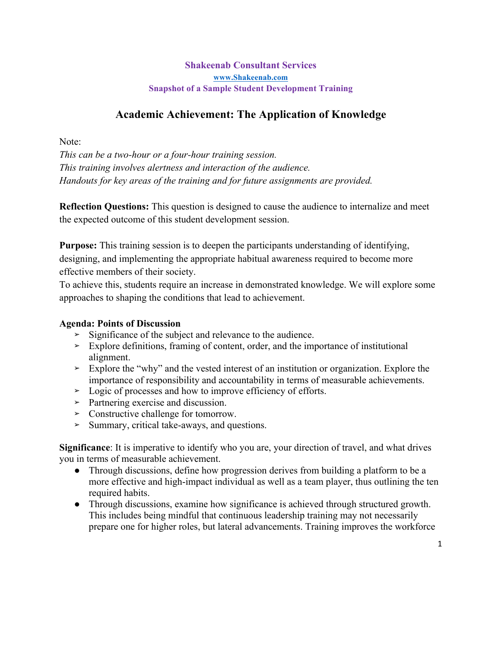# **Academic Achievement: The Application of Knowledge**

Note:

*This can be a two-hour or a four-hour training session. This training involves alertness and interaction of the audience. Handouts for key areas of the training and for future assignments are provided.*

**Reflection Questions:** This question is designed to cause the audience to internalize and meet the expected outcome of this student development session.

**Purpose:** This training session is to deepen the participants understanding of identifying, designing, and implementing the appropriate habitual awareness required to become more effective members of their society.

To achieve this, students require an increase in demonstrated knowledge. We will explore some approaches to shaping the conditions that lead to achievement.

#### **Agenda: Points of Discussion**

- **➢** Significance of the subject and relevance to the audience.
- **➢** Explore definitions, framing of content, order, and the importance of institutional alignment.
- **➢** Explore the "why" and the vested interest of an institution or organization. Explore the importance of responsibility and accountability in terms of measurable achievements.
- **➢** Logic of processes and how to improve efficiency of efforts.
- **➢** Partnering exercise and discussion.
- **➢** Constructive challenge for tomorrow.
- **➢** Summary, critical take-aways, and questions.

**Significance**: It is imperative to identify who you are, your direction of travel, and what drives you in terms of measurable achievement.

- Through discussions, define how progression derives from building a platform to be a more effective and high-impact individual as well as a team player, thus outlining the ten required habits.
- Through discussions, examine how significance is achieved through structured growth. This includes being mindful that continuous leadership training may not necessarily prepare one for higher roles, but lateral advancements. Training improves the workforce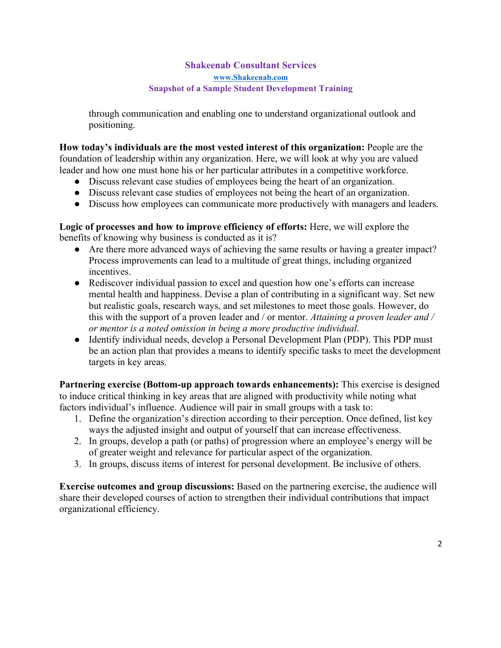through communication and enabling one to understand organizational outlook and positioning.

**How today's individuals are the most vested interest of this organization:** People are the foundation of leadership within any organization. Here, we will look at why you are valued leader and how one must hone his or her particular attributes in a competitive workforce.

- Discuss relevant case studies of employees being the heart of an organization.
- Discuss relevant case studies of employees not being the heart of an organization.
- Discuss how employees can communicate more productively with managers and leaders.

**Logic of processes and how to improve efficiency of efforts:** Here, we will explore the benefits of knowing why business is conducted as it is?

- Are there more advanced ways of achieving the same results or having a greater impact? Process improvements can lead to a multitude of great things, including organized incentives.
- Rediscover individual passion to excel and question how one's efforts can increase mental health and happiness. Devise a plan of contributing in a significant way. Set new but realistic goals, research ways, and set milestones to meet those goals. However, do this with the support of a proven leader and / or mentor. *Attaining a proven leader and / or mentor is a noted omission in being a more productive individual*.
- Identify individual needs, develop a Personal Development Plan (PDP). This PDP must be an action plan that provides a means to identify specific tasks to meet the development targets in key areas.

**Partnering exercise (Bottom-up approach towards enhancements):** This exercise is designed to induce critical thinking in key areas that are aligned with productivity while noting what factors individual's influence. Audience will pair in small groups with a task to:

- 1. Define the organization's direction according to their perception. Once defined, list key ways the adjusted insight and output of yourself that can increase effectiveness.
- 2. In groups, develop a path (or paths) of progression where an employee's energy will be of greater weight and relevance for particular aspect of the organization.
- 3. In groups, discuss items of interest for personal development. Be inclusive of others.

**Exercise outcomes and group discussions:** Based on the partnering exercise, the audience will share their developed courses of action to strengthen their individual contributions that impact organizational efficiency.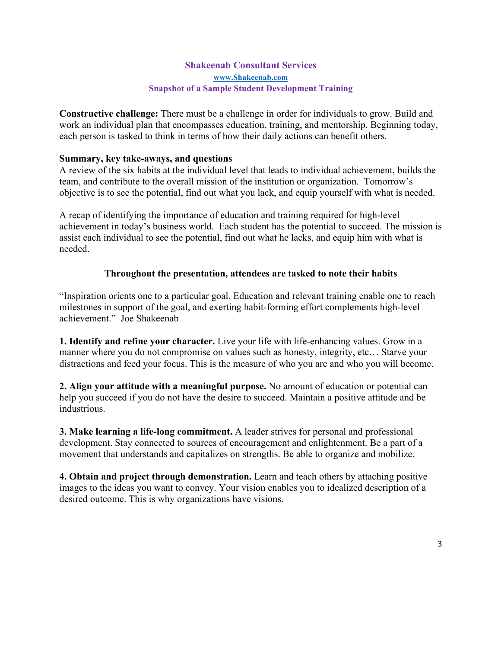**Constructive challenge:** There must be a challenge in order for individuals to grow. Build and work an individual plan that encompasses education, training, and mentorship. Beginning today, each person is tasked to think in terms of how their daily actions can benefit others.

#### **Summary, key take-aways, and questions**

A review of the six habits at the individual level that leads to individual achievement, builds the team, and contribute to the overall mission of the institution or organization. Tomorrow's objective is to see the potential, find out what you lack, and equip yourself with what is needed.

A recap of identifying the importance of education and training required for high-level achievement in today's business world. Each student has the potential to succeed. The mission is assist each individual to see the potential, find out what he lacks, and equip him with what is needed.

#### **Throughout the presentation, attendees are tasked to note their habits**

"Inspiration orients one to a particular goal. Education and relevant training enable one to reach milestones in support of the goal, and exerting habit-forming effort complements high-level achievement." Joe Shakeenab

**1. Identify and refine your character.** Live your life with life-enhancing values. Grow in a manner where you do not compromise on values such as honesty, integrity, etc… Starve your distractions and feed your focus. This is the measure of who you are and who you will become.

**2. Align your attitude with a meaningful purpose.** No amount of education or potential can help you succeed if you do not have the desire to succeed. Maintain a positive attitude and be industrious.

**3. Make learning a life-long commitment.** A leader strives for personal and professional development. Stay connected to sources of encouragement and enlightenment. Be a part of a movement that understands and capitalizes on strengths. Be able to organize and mobilize.

**4. Obtain and project through demonstration.** Learn and teach others by attaching positive images to the ideas you want to convey. Your vision enables you to idealized description of a desired outcome. This is why organizations have visions.